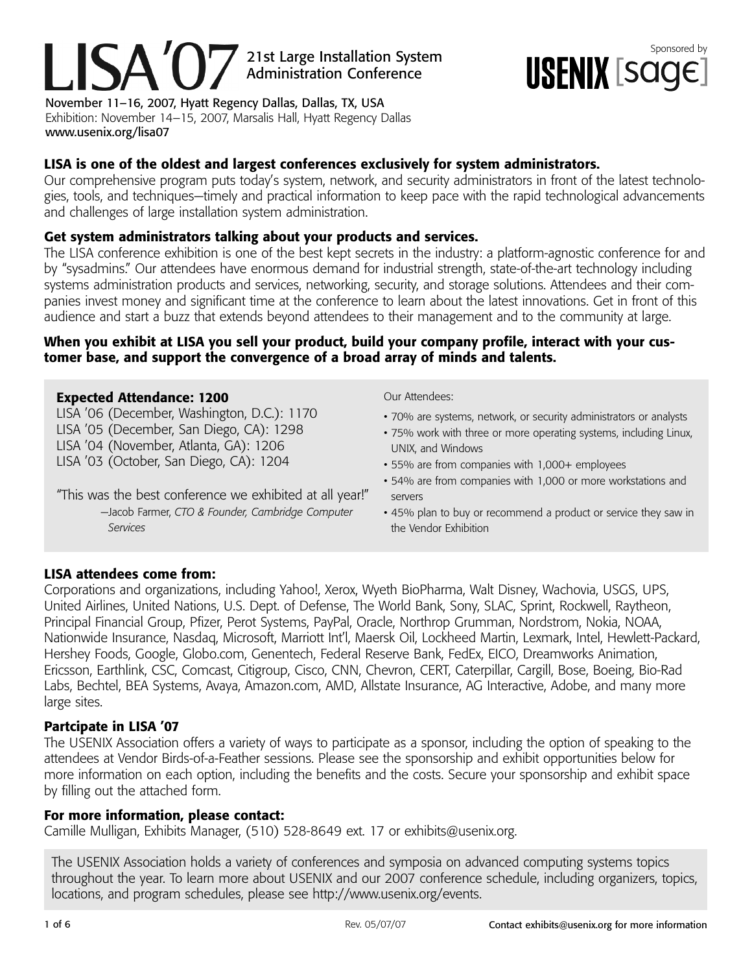# 21st Large Installation System<br>Administration Conference<br> **SSPONIX** [SOOC] LISA'O Administration Conference

November 11–16, 2007, Hyatt Regency Dallas, Dallas, TX, USA Exhibition: November 14–15, 2007, Marsalis Hall, Hyatt Regency Dallas www.usenix.org/lisa07

### **LISA is one of the oldest and largest conferences exclusively for system administrators.**

Our comprehensive program puts today's system, network, and security administrators in front of the latest technologies, tools, and techniques—timely and practical information to keep pace with the rapid technological advancements and challenges of large installation system administration.

### **Get system administrators talking about your products and services.**

The LISA conference exhibition is one of the best kept secrets in the industry: a platform-agnostic conference for and by "sysadmins." Our attendees have enormous demand for industrial strength, state-of-the-art technology including systems administration products and services, networking, security, and storage solutions. Attendees and their companies invest money and significant time at the conference to learn about the latest innovations. Get in front of this audience and start a buzz that extends beyond attendees to their management and to the community at large.

### **When you exhibit at LISA you sell your product, build your company profile, interact with your customer base, and support the convergence of a broad array of minds and talents.**

### **Expected Attendance: 1200**

LISA '06 (December, Washington, D.C.): 1170 LISA '05 (December, San Diego, CA): 1298 LISA '04 (November, Atlanta, GA): 1206 LISA '03 (October, San Diego, CA): 1204

"This was the best conference we exhibited at all year!"

—Jacob Farmer, *CTO & Founder, Cambridge Computer Services*

#### Our Attendees:

- 70% are systems, network, or security administrators or analysts
- 75% work with three or more operating systems, including Linux, UNIX, and Windows
- 55% are from companies with 1,000+ employees
- 54% are from companies with 1,000 or more workstations and servers
- 45% plan to buy or recommend a product or service they saw in the Vendor Exhibition

### **LISA attendees come from:**

Corporations and organizations, including Yahoo!, Xerox, Wyeth BioPharma, Walt Disney, Wachovia, USGS, UPS, United Airlines, United Nations, U.S. Dept. of Defense, The World Bank, Sony, SLAC, Sprint, Rockwell, Raytheon, Principal Financial Group, Pfizer, Perot Systems, PayPal, Oracle, Northrop Grumman, Nordstrom, Nokia, NOAA, Nationwide Insurance, Nasdaq, Microsoft, Marriott Int'l, Maersk Oil, Lockheed Martin, Lexmark, Intel, Hewlett-Packard, Hershey Foods, Google, Globo.com, Genentech, Federal Reserve Bank, FedEx, EICO, Dreamworks Animation, Ericsson, Earthlink, CSC, Comcast, Citigroup, Cisco, CNN, Chevron, CERT, Caterpillar, Cargill, Bose, Boeing, Bio-Rad Labs, Bechtel, BEA Systems, Avaya, Amazon.com, AMD, Allstate Insurance, AG Interactive, Adobe, and many more large sites.

### **Partcipate in LISA '07**

The USENIX Association offers a variety of ways to participate as a sponsor, including the option of speaking to the attendees at Vendor Birds-of-a-Feather sessions. Please see the sponsorship and exhibit opportunities below for more information on each option, including the benefits and the costs. Secure your sponsorship and exhibit space by filling out the attached form.

#### **For more information, please contact:**

Camille Mulligan, Exhibits Manager, (510) 528-8649 ext. 17 or exhibits@usenix.org.

The USENIX Association holds a variety of conferences and symposia on advanced computing systems topics throughout the year. To learn more about USENIX and our 2007 conference schedule, including organizers, topics, locations, and program schedules, please see http://www.usenix.org/events.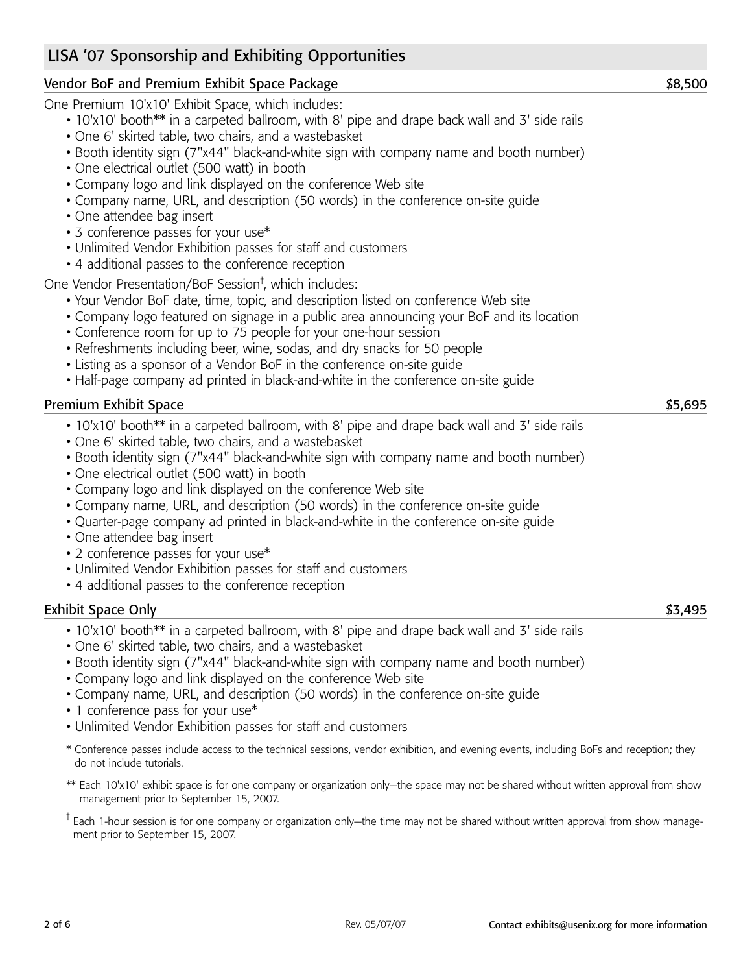# LISA '07 Sponsorship and Exhibiting Opportunities

# Vendor BoF and Premium Exhibit Space Package  $\sim$  88,500

One Premium 10'x10' Exhibit Space, which includes:

- 10'x10' booth\*\* in a carpeted ballroom, with 8' pipe and drape back wall and 3' side rails
- One 6' skirted table, two chairs, and a wastebasket
- Booth identity sign (7"x44" black-and-white sign with company name and booth number)
- One electrical outlet (500 watt) in booth
- Company logo and link displayed on the conference Web site
- Company name, URL, and description (50 words) in the conference on-site guide
- One attendee bag insert
- 3 conference passes for your use\*
- Unlimited Vendor Exhibition passes for staff and customers
- 4 additional passes to the conference reception

One Vendor Presentation/BoF Session† , which includes:

- Your Vendor BoF date, time, topic, and description listed on conference Web site
- Company logo featured on signage in a public area announcing your BoF and its location
- Conference room for up to 75 people for your one-hour session
- Refreshments including beer, wine, sodas, and dry snacks for 50 people
- Listing as a sponsor of a Vendor BoF in the conference on-site guide
- Half-page company ad printed in black-and-white in the conference on-site guide

# Premium Exhibit Space \$5,695

- 10'x10' booth\*\* in a carpeted ballroom, with 8' pipe and drape back wall and 3' side rails
- One 6' skirted table, two chairs, and a wastebasket
- Booth identity sign (7"x44" black-and-white sign with company name and booth number)
- One electrical outlet (500 watt) in booth
- Company logo and link displayed on the conference Web site
- Company name, URL, and description (50 words) in the conference on-site guide
- Quarter-page company ad printed in black-and-white in the conference on-site guide
- One attendee bag insert
- 2 conference passes for your use\*
- Unlimited Vendor Exhibition passes for staff and customers
- 4 additional passes to the conference reception

# Exhibit Space Only \$3,495

- 10'x10' booth\*\* in a carpeted ballroom, with 8' pipe and drape back wall and 3' side rails
- One 6' skirted table, two chairs, and a wastebasket
- Booth identity sign (7"x44" black-and-white sign with company name and booth number)
- Company logo and link displayed on the conference Web site
- Company name, URL, and description (50 words) in the conference on-site guide
- 1 conference pass for your use\*
- Unlimited Vendor Exhibition passes for staff and customers
- \* Conference passes include access to the technical sessions, vendor exhibition, and evening events, including BoFs and reception; they do not include tutorials.
- \*\* Each 10'x10' exhibit space is for one company or organization only—the space may not be shared without written approval from show management prior to September 15, 2007.

<sup>T</sup> Each 1-hour session is for one company or organization only—the time may not be shared without written approval from show management prior to September 15, 2007.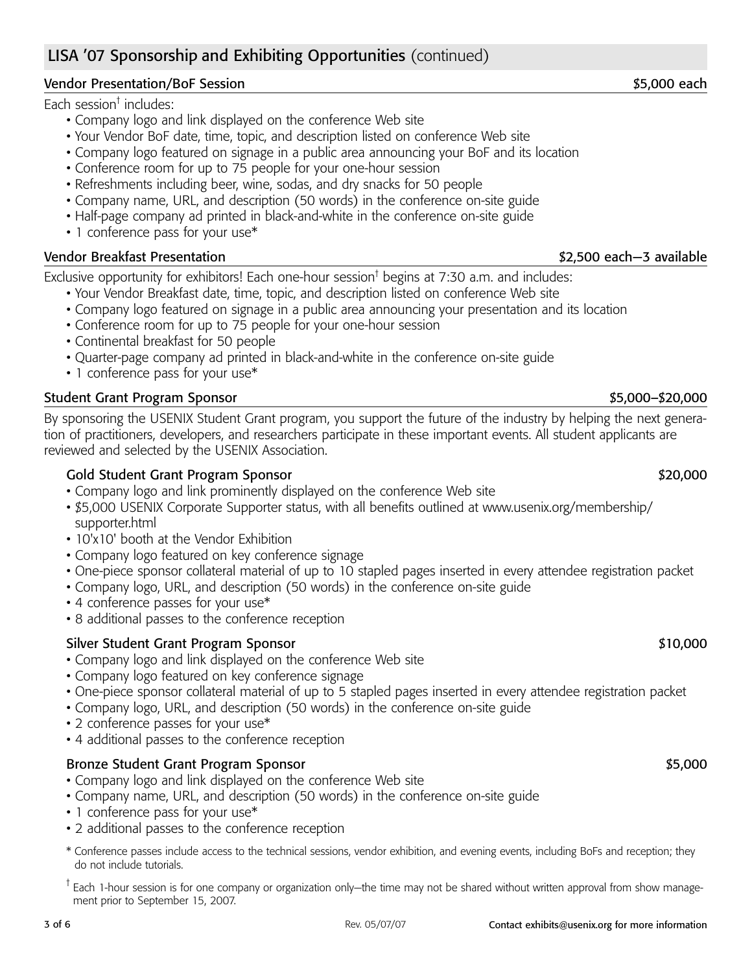# LISA '07 Sponsorship and Exhibiting Opportunities (continued)

### Vendor Presentation/BoF Session \$5,000 each \$5,000 each \$5,000 each \$5,000 each \$5,000 each \$5,000 each \$5,000 each \$5,000 each \$5,000 each \$5,000 each \$5,000 each \$5,000 each \$5,000 each \$5,000 each \$5,000 each \$5,000 eac

Each session† includes:

- Company logo and link displayed on the conference Web site
- Your Vendor BoF date, time, topic, and description listed on conference Web site
- Company logo featured on signage in a public area announcing your BoF and its location
- Conference room for up to 75 people for your one-hour session
- Refreshments including beer, wine, sodas, and dry snacks for 50 people
- Company name, URL, and description (50 words) in the conference on-site guide
- Half-page company ad printed in black-and-white in the conference on-site guide
- 1 conference pass for your use\*

#### Vendor Breakfast Presentation **by a strategies and the set of the set of the set of the set of the set of the set of the set of the set of the set of the set of the set of the set of the set of the set of the set of the se**

Exclusive opportunity for exhibitors! Each one-hour session<sup>†</sup> begins at 7:30 a.m. and includes:

- Your Vendor Breakfast date, time, topic, and description listed on conference Web site
- Company logo featured on signage in a public area announcing your presentation and its location
- Conference room for up to 75 people for your one-hour session
- Continental breakfast for 50 people
- Quarter-page company ad printed in black-and-white in the conference on-site guide
- 1 conference pass for your use\*

#### Student Grant Program Sponsor  $$5,000-$20,000$

By sponsoring the USENIX Student Grant program, you support the future of the industry by helping the next generation of practitioners, developers, and researchers participate in these important events. All student applicants are reviewed and selected by the USENIX Association.

#### Gold Student Grant Program Sponsor \$20,000  $$20,000$

- Company logo and link prominently displayed on the conference Web site
- \$5,000 USENIX Corporate Supporter status, with all benefits outlined at www.usenix.org/membership/ supporter.html
- 10'x10' booth at the Vendor Exhibition
- Company logo featured on key conference signage
- One-piece sponsor collateral material of up to 10 stapled pages inserted in every attendee registration packet
- Company logo, URL, and description (50 words) in the conference on-site guide
- 4 conference passes for your use\*
- 8 additional passes to the conference reception

#### Silver Student Grant Program Sponsor \$10,000  $$10,000$

- Company logo and link displayed on the conference Web site
- Company logo featured on key conference signage
- One-piece sponsor collateral material of up to 5 stapled pages inserted in every attendee registration packet
- Company logo, URL, and description (50 words) in the conference on-site guide
- 2 conference passes for your use\*
- 4 additional passes to the conference reception

#### Bronze Student Grant Program Sponsor  $$5,000$

- Company logo and link displayed on the conference Web site
- Company name, URL, and description (50 words) in the conference on-site guide
- 1 conference pass for your use\*
- 2 additional passes to the conference reception
- \* Conference passes include access to the technical sessions, vendor exhibition, and evening events, including BoFs and reception; they do not include tutorials.
- <sup>†</sup> Each 1-hour session is for one company or organization only—the time may not be shared without written approval from show management prior to September 15, 2007.

#### 3 of 6 Rev. 05/07/07 Contact exhibits@usenix.org for more information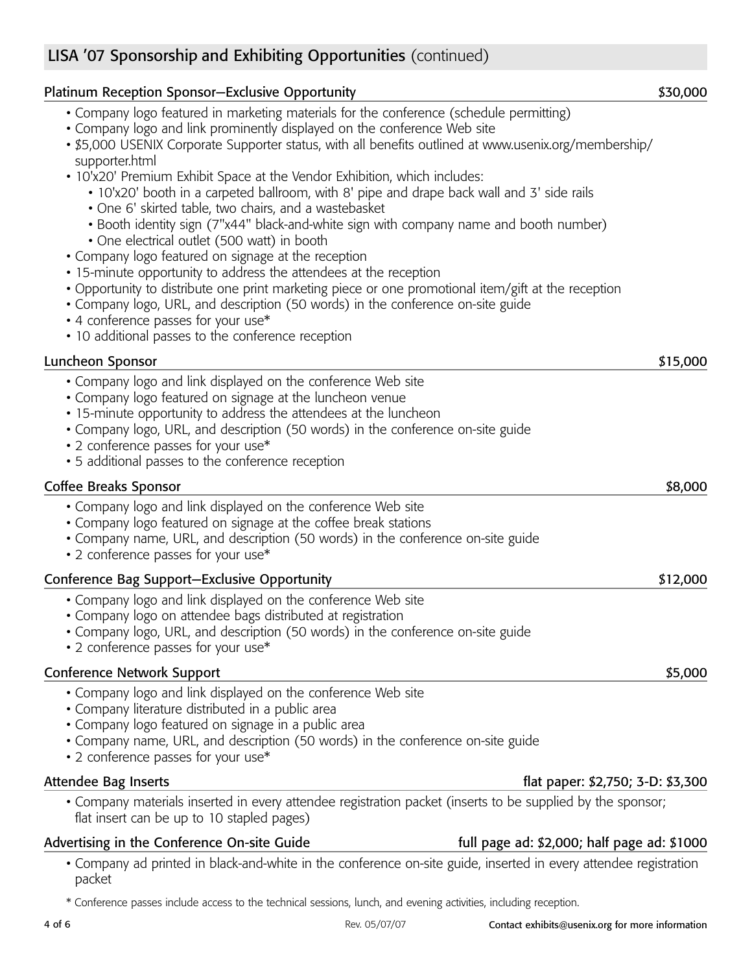# LISA '07 Sponsorship and Exhibiting Opportunities (continued)

| <b>Platinum Reception Sponsor–Exclusive Opportunity</b>                                                                                                                                                                                                                                                                                                                                                         | \$30,000 |
|-----------------------------------------------------------------------------------------------------------------------------------------------------------------------------------------------------------------------------------------------------------------------------------------------------------------------------------------------------------------------------------------------------------------|----------|
| • Company logo featured in marketing materials for the conference (schedule permitting)<br>• Company logo and link prominently displayed on the conference Web site<br>• \$5,000 USENIX Corporate Supporter status, with all benefits outlined at www.usenix.org/membership/<br>supporter.html                                                                                                                  |          |
| • 10'x20' Premium Exhibit Space at the Vendor Exhibition, which includes:<br>• 10'x20' booth in a carpeted ballroom, with 8' pipe and drape back wall and 3' side rails<br>• One 6' skirted table, two chairs, and a wastebasket<br>• Booth identity sign (7"x44" black-and-white sign with company name and booth number)<br>• One electrical outlet (500 watt) in booth                                       |          |
| • Company logo featured on signage at the reception<br>• 15-minute opportunity to address the attendees at the reception<br>• Opportunity to distribute one print marketing piece or one promotional item/gift at the reception<br>• Company logo, URL, and description (50 words) in the conference on-site guide<br>• 4 conference passes for your use*<br>• 10 additional passes to the conference reception |          |
| Luncheon Sponsor                                                                                                                                                                                                                                                                                                                                                                                                | \$15,000 |
| • Company logo and link displayed on the conference Web site<br>• Company logo featured on signage at the luncheon venue<br>• 15-minute opportunity to address the attendees at the luncheon<br>• Company logo, URL, and description (50 words) in the conference on-site guide<br>• 2 conference passes for your use*<br>• 5 additional passes to the conference reception                                     |          |
| <b>Coffee Breaks Sponsor</b>                                                                                                                                                                                                                                                                                                                                                                                    | \$8,000  |
| • Company logo and link displayed on the conference Web site<br>• Company logo featured on signage at the coffee break stations<br>• Company name, URL, and description (50 words) in the conference on-site guide<br>• 2 conference passes for your use*                                                                                                                                                       |          |
| Conference Bag Support-Exclusive Opportunity                                                                                                                                                                                                                                                                                                                                                                    | \$12,000 |
| • Company logo and link displayed on the conference Web site<br>• Company logo on attendee bags distributed at registration<br>• Company logo, URL, and description (50 words) in the conference on-site guide<br>• 2 conference passes for your use*                                                                                                                                                           |          |
| <b>Conference Network Support</b>                                                                                                                                                                                                                                                                                                                                                                               | \$5,000  |
| • Company logo and link displayed on the conference Web site<br>• Company literature distributed in a public area<br>• Company logo featured on signage in a public area<br>• Company name, URL, and description (50 words) in the conference on-site guide<br>• 2 conference passes for your use*                                                                                                              |          |
| <b>Attendee Bag Inserts</b><br>flat paper: \$2,750; 3-D: \$3,300                                                                                                                                                                                                                                                                                                                                                |          |
| • Company materials inserted in every attendee registration packet (inserts to be supplied by the sponsor;<br>flat insert can be up to 10 stapled pages)                                                                                                                                                                                                                                                        |          |
| Advertising in the Conference On-site Guide<br>full page ad: \$2,000; half page ad: \$1000                                                                                                                                                                                                                                                                                                                      |          |
| • Company ad printed in black-and-white in the conference on-site guide, inserted in every attendee registration<br>packet                                                                                                                                                                                                                                                                                      |          |

\* Conference passes include access to the technical sessions, lunch, and evening activities, including reception.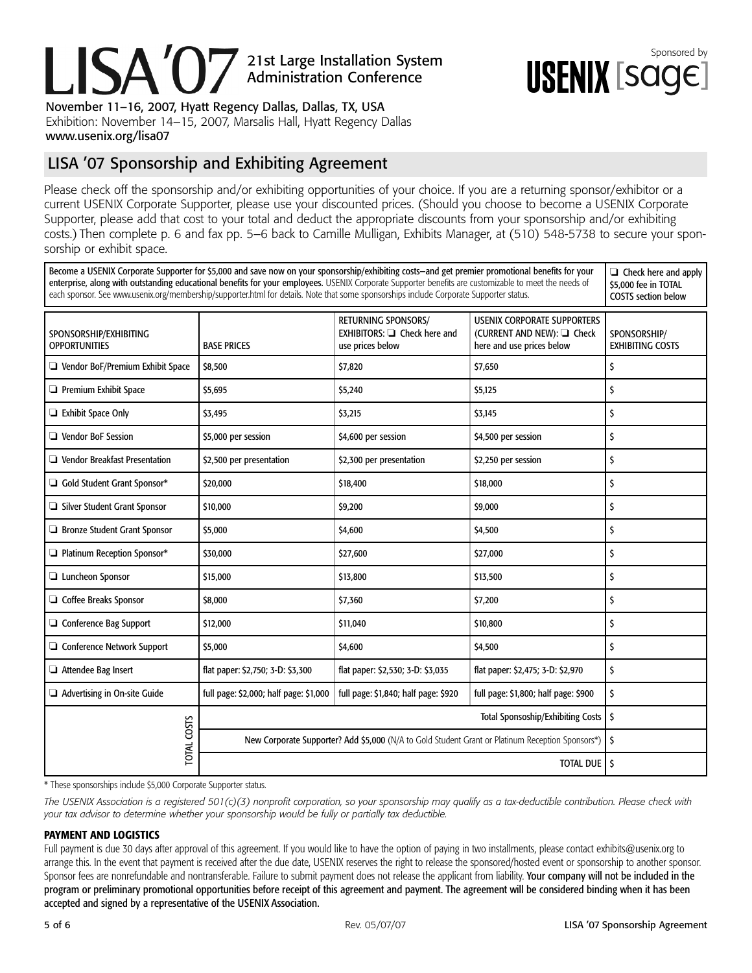# Sponsored by<br>TARNIM Form Administration Conference

November 11–16, 2007, Hyatt Regency Dallas, Dallas, TX, USA Exhibition: November 14–15, 2007, Marsalis Hall, Hyatt Regency Dallas www.usenix.org/lisa07

# LISA '07 Sponsorship and Exhibiting Agreement

Please check off the sponsorship and/or exhibiting opportunities of your choice. If you are a returning sponsor/exhibitor or a current USENIX Corporate Supporter, please use your discounted prices. (Should you choose to become a USENIX Corporate Supporter, please add that cost to your total and deduct the appropriate discounts from your sponsorship and/or exhibiting costs.) Then complete p. 6 and fax pp. 5–6 back to Camille Mulligan, Exhibits Manager, at (510) 548-5738 to secure your sponsorship or exhibit space.

Become a USENIX Corporate Supporter for \$5,000 and save now on your sponsorship/exhibiting costs—and get premier promotional benefits for your ❏ Check here and apply enterprise, along with outstanding educational benefits for your employees. USENIX Corporate Supporter benefits are customizable to meet the needs of \$5,000 fee in TOTAL each sponsor. See www.usenix.org/membership/supporter.html for details. Note that some sponsorships include Corporate Supporter status. COSTS section below RETURNING SPONSORS/ USENIX CORPORATE SUPPORTERS SPONSORSHIP/EXHIBITING EXHIBITORS: ❏ Check here and (CURRENT AND NEW): ❏ Check SPONSORSHIP/ OPPORTUNITIES BASE PRICES use prices below here and use prices below EXHIBITING COSTS ❏ Vendor BoF/Premium Exhibit Space \$8,500 \$7,820 \$7,650 \$ ❏ Premium Exhibit Space \$5,695 \$5,240 \$5,125 \$  $\Box$  Exhibit Space Only  $\Box$  Exhibit Space Only  $\Box$   $\Box$   $\Box$ ❏ Vendor BoF Session \$5,000 per session \$4,600 per session \$4,500 per session \$ ❏ Vendor Breakfast Presentation \$2,500 per presentation \$2,300 per presentation \$2,250 per session \$ ❏ Gold Student Grant Sponsor\* \$20,000 \$18,400 \$18,000 \$ ❏ Silver Student Grant Sponsor \$10,000 \$9,200 \$9,000 \$ ❏ Bronze Student Grant Sponsor \$5,000 \$4,600 \$4,500 \$ ❏ Platinum Reception Sponsor\* \$30,000 \$27,600 \$27,000 \$ ❏ Luncheon Sponsor \$15,000 \$13,800 \$13,500 \$ ❏ Coffee Breaks Sponsor \$8,000 \$7,360 \$7,200 \$ ❏ Conference Bag Support \$12,000 \$11,040 \$10,800 \$ ❏ Conference Network Support \$5,000 \$4,600 \$4,500 \$ ❏ Attendee Bag Insert flat paper: \$2,750; 3-D: \$3,300 flat paper: \$2,530; 3-D: \$3,035 flat paper: \$2,475; 3-D: \$2,970 \$ ❏ Advertising in On-site Guide full page: \$2,000; half page: \$1,000 full page: \$1,840; half page: \$920 full page: \$1,800; half page: \$900 \$ Total Sponsoship/Exhibiting Costs  $\frac{1}{5}$ **TOTAL COSTS** TOTAL COSTS New Corporate Supporter? Add \$5,000 (N/A to Gold Student Grant or Platinum Reception Sponsors\*) | \$ TOTAL DUE 5

\* These sponsorships include \$5,000 Corporate Supporter status.

The USENIX Association is a registered 501(c)(3) nonprofit corporation, so your sponsorship may qualify as a tax-deductible contribution. Please check with *your tax advisor to determine whether your sponsorship would be fully or partially tax deductible.*

#### **PAYMENT AND LOGISTICS**

Full payment is due 30 days after approval of this agreement. If you would like to have the option of paying in two installments, please contact exhibits@usenix.org to arrange this. In the event that payment is received after the due date, USENIX reserves the right to release the sponsored/hosted event or sponsorship to another sponsor. Sponsor fees are nonrefundable and nontransferable. Failure to submit payment does not release the applicant from liability. Your company will not be included in the program or preliminary promotional opportunities before receipt of this agreement and payment. The agreement will be considered binding when it has been accepted and signed by a representative of the USENIX Association.